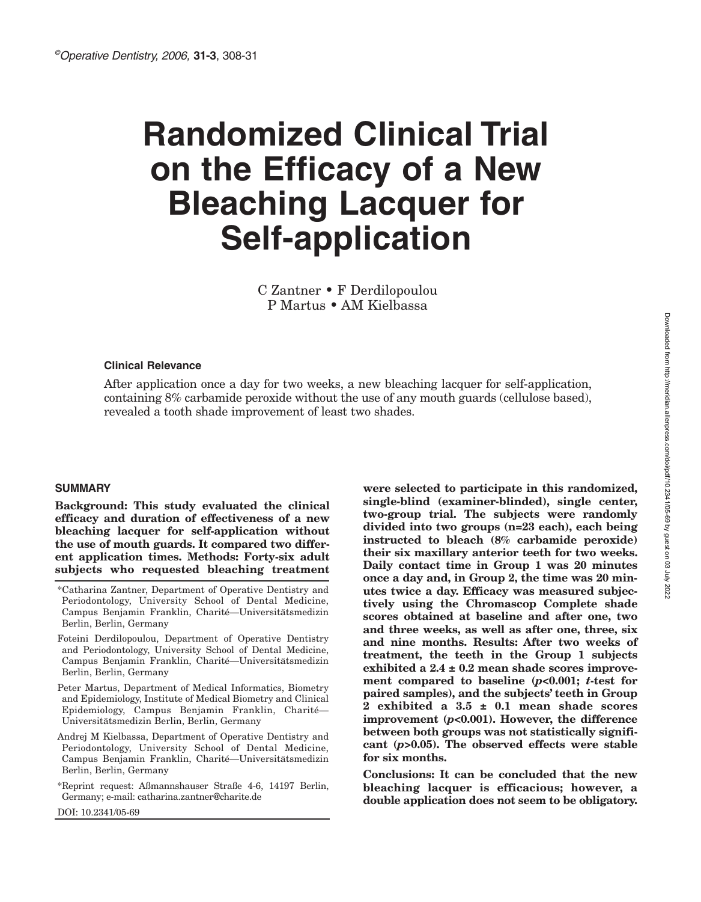# **Randomized Clinical Trial on the Efficacy of a New Bleaching Lacquer for Self-application**

C Zantner • F Derdilopoulou P Martus • AM Kielbassa

## **Clinical Relevance**

After application once a day for two weeks, a new bleaching lacquer for self-application, containing 8% carbamide peroxide without the use of any mouth guards (cellulose based), revealed a tooth shade improvement of least two shades.

## **SUMMARY**

**Background: This study evaluated the clinical efficacy and duration of effectiveness of a new bleaching lacquer for self-application without the use of mouth guards. It compared two different application times. Methods: Forty-six adult subjects who requested bleaching treatment**

- Foteini Derdilopoulou, Department of Operative Dentistry and Periodontology, University School of Dental Medicine, Campus Benjamin Franklin, Charité—Universitätsmedizin Berlin, Berlin, Germany
- Peter Martus, Department of Medical Informatics, Biometry and Epidemiology, Institute of Medical Biometry and Clinical Epidemiology, Campus Benjamin Franklin, Charité— Universitätsmedizin Berlin, Berlin, Germany
- Andrej M Kielbassa, Department of Operative Dentistry and Periodontology, University School of Dental Medicine, Campus Benjamin Franklin, Charité—Universitätsmedizin Berlin, Berlin, Germany
- \*Reprint request: Aßmannshauser Straße 4-6, 14197 Berlin, Germany; e-mail: catharina.zantner@charite.de

**were selected to participate in this randomized, single-blind (examiner-blinded), single center, two-group trial. The subjects were randomly divided into two groups (n=23 each), each being instructed to bleach (8% carbamide peroxide) their six maxillary anterior teeth for two weeks. Daily contact time in Group 1 was 20 minutes once a day and, in Group 2, the time was 20 minutes twice a day. Efficacy was measured subjectively using the Chromascop Complete shade scores obtained at baseline and after one, two and three weeks, as well as after one, three, six and nine months. Results: After two weeks of treatment, the teeth in the Group 1 subjects exhibited a 2.4 ± 0.2 mean shade scores improvement compared to baseline (***p***<0.001;** *t***-test for paired samples), and the subjects' teeth in Group 2 exhibited a 3.5 ± 0.1 mean shade scores improvement (***p***<0.001). However, the difference between both groups was not statistically significant (***p***>0.05). The observed effects were stable for six months.**

**Conclusions: It can be concluded that the new bleaching lacquer is efficacious; however, a double application does not seem to be obligatory.**

DOI: 10.2341/05-69

<sup>\*</sup>Catharina Zantner, Department of Operative Dentistry and Periodontology, University School of Dental Medicine, Campus Benjamin Franklin, Charité—Universitätsmedizin Berlin, Berlin, Germany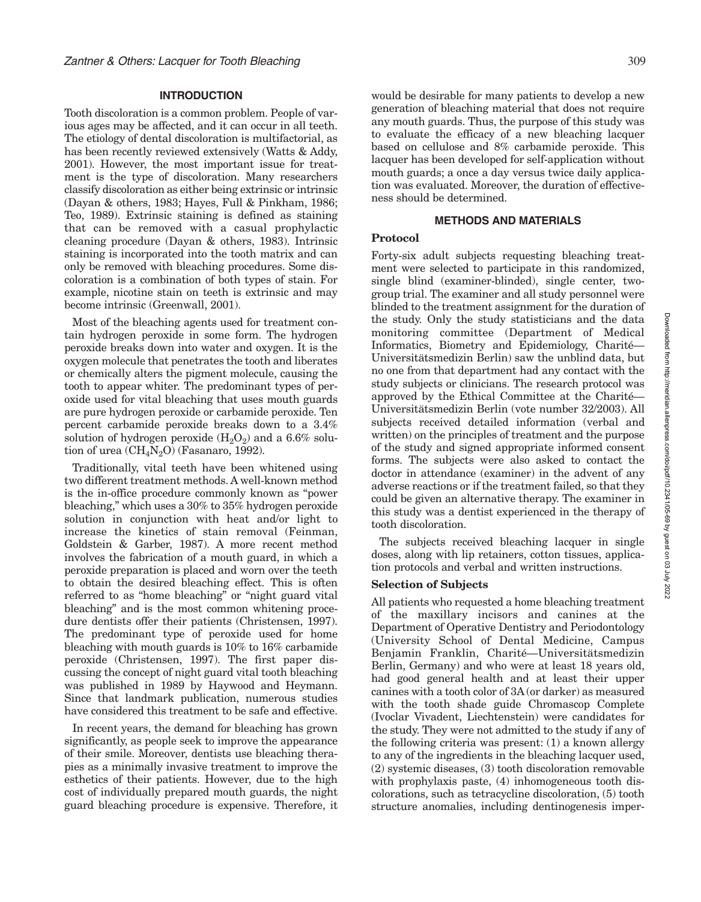## **INTRODUCTION**

Tooth discoloration is a common problem. People of various ages may be affected, and it can occur in all teeth. The etiology of dental discoloration is multifactorial, as has been recently reviewed extensively (Watts & Addy, 2001). However, the most important issue for treatment is the type of discoloration. Many researchers classify discoloration as either being extrinsic or intrinsic (Dayan & others, 1983; Hayes, Full & Pinkham, 1986; Teo, 1989). Extrinsic staining is defined as staining that can be removed with a casual prophylactic cleaning procedure (Dayan & others, 1983). Intrinsic staining is incorporated into the tooth matrix and can only be removed with bleaching procedures. Some discoloration is a combination of both types of stain. For example, nicotine stain on teeth is extrinsic and may become intrinsic (Greenwall, 2001).

Most of the bleaching agents used for treatment contain hydrogen peroxide in some form. The hydrogen peroxide breaks down into water and oxygen. It is the oxygen molecule that penetrates the tooth and liberates or chemically alters the pigment molecule, causing the tooth to appear whiter. The predominant types of peroxide used for vital bleaching that uses mouth guards are pure hydrogen peroxide or carbamide peroxide. Ten percent carbamide peroxide breaks down to a 3.4% solution of hydrogen peroxide  $(H_2O_2)$  and a 6.6% solution of urea  $(CH_4N_2O)$  (Fasanaro, 1992).

Traditionally, vital teeth have been whitened using two different treatment methods. A well-known method is the in-office procedure commonly known as "power bleaching," which uses a 30% to 35% hydrogen peroxide solution in conjunction with heat and/or light to increase the kinetics of stain removal (Feinman, Goldstein & Garber, 1987). A more recent method involves the fabrication of a mouth guard, in which a peroxide preparation is placed and worn over the teeth to obtain the desired bleaching effect. This is often referred to as "home bleaching" or "night guard vital bleaching" and is the most common whitening procedure dentists offer their patients (Christensen, 1997). The predominant type of peroxide used for home bleaching with mouth guards is 10% to 16% carbamide peroxide (Christensen, 1997). The first paper discussing the concept of night guard vital tooth bleaching was published in 1989 by Haywood and Heymann. Since that landmark publication, numerous studies have considered this treatment to be safe and effective.

In recent years, the demand for bleaching has grown significantly, as people seek to improve the appearance of their smile. Moreover, dentists use bleaching therapies as a minimally invasive treatment to improve the esthetics of their patients. However, due to the high cost of individually prepared mouth guards, the night guard bleaching procedure is expensive. Therefore, it would be desirable for many patients to develop a new generation of bleaching material that does not require any mouth guards. Thus, the purpose of this study was to evaluate the efficacy of a new bleaching lacquer based on cellulose and 8% carbamide peroxide. This lacquer has been developed for self-application without mouth guards; a once a day versus twice daily application was evaluated. Moreover, the duration of effectiveness should be determined.

## **METHODS AND MATERIALS**

#### **Protocol**

Forty-six adult subjects requesting bleaching treatment were selected to participate in this randomized, single blind (examiner-blinded), single center, twogroup trial. The examiner and all study personnel were blinded to the treatment assignment for the duration of the study. Only the study statisticians and the data monitoring committee (Department of Medical Informatics, Biometry and Epidemiology, Charité— Universitätsmedizin Berlin) saw the unblind data, but no one from that department had any contact with the study subjects or clinicians. The research protocol was approved by the Ethical Committee at the Charité— Universitätsmedizin Berlin (vote number 32/2003). All subjects received detailed information (verbal and written) on the principles of treatment and the purpose of the study and signed appropriate informed consent forms. The subjects were also asked to contact the doctor in attendance (examiner) in the advent of any adverse reactions or if the treatment failed, so that they could be given an alternative therapy. The examiner in this study was a dentist experienced in the therapy of tooth discoloration.

The subjects received bleaching lacquer in single doses, along with lip retainers, cotton tissues, application protocols and verbal and written instructions.

#### **Selection of Subjects**

All patients who requested a home bleaching treatment of the maxillary incisors and canines at the Department of Operative Dentistry and Periodontology (University School of Dental Medicine, Campus Benjamin Franklin, Charité—Universitätsmedizin Berlin, Germany) and who were at least 18 years old, had good general health and at least their upper canines with a tooth color of 3A (or darker) as measured with the tooth shade guide Chromascop Complete (Ivoclar Vivadent, Liechtenstein) were candidates for the study. They were not admitted to the study if any of the following criteria was present: (1) a known allergy to any of the ingredients in the bleaching lacquer used, (2) systemic diseases, (3) tooth discoloration removable with prophylaxis paste, (4) inhomogeneous tooth discolorations, such as tetracycline discoloration, (5) tooth structure anomalies, including dentinogenesis imper-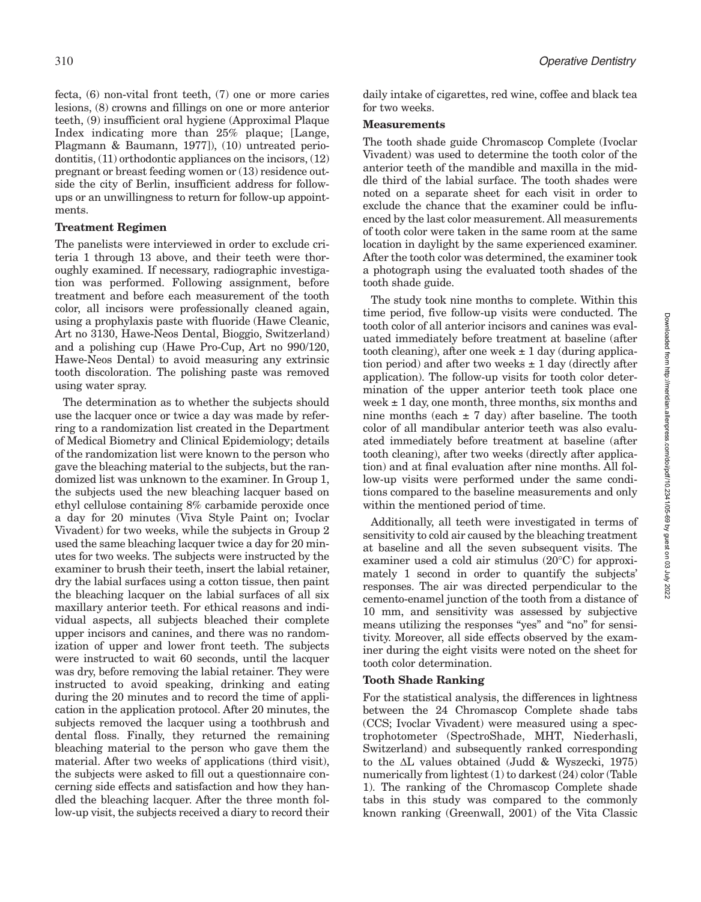fecta, (6) non-vital front teeth, (7) one or more caries lesions, (8) crowns and fillings on one or more anterior teeth, (9) insufficient oral hygiene (Approximal Plaque Index indicating more than 25% plaque; [Lange, Plagmann & Baumann, 1977]), (10) untreated periodontitis, (11) orthodontic appliances on the incisors, (12) pregnant or breast feeding women or (13) residence outside the city of Berlin, insufficient address for followups or an unwillingness to return for follow-up appointments.

## **Treatment Regimen**

The panelists were interviewed in order to exclude criteria 1 through 13 above, and their teeth were thoroughly examined. If necessary, radiographic investigation was performed. Following assignment, before treatment and before each measurement of the tooth color, all incisors were professionally cleaned again, using a prophylaxis paste with fluoride (Hawe Cleanic, Art no 3130, Hawe-Neos Dental, Bioggio, Switzerland) and a polishing cup (Hawe Pro-Cup, Art no 990/120, Hawe-Neos Dental) to avoid measuring any extrinsic tooth discoloration. The polishing paste was removed using water spray.

The determination as to whether the subjects should use the lacquer once or twice a day was made by referring to a randomization list created in the Department of Medical Biometry and Clinical Epidemiology; details of the randomization list were known to the person who gave the bleaching material to the subjects, but the randomized list was unknown to the examiner. In Group 1, the subjects used the new bleaching lacquer based on ethyl cellulose containing 8% carbamide peroxide once a day for 20 minutes (Viva Style Paint on; Ivoclar Vivadent) for two weeks, while the subjects in Group 2 used the same bleaching lacquer twice a day for 20 minutes for two weeks. The subjects were instructed by the examiner to brush their teeth, insert the labial retainer, dry the labial surfaces using a cotton tissue, then paint the bleaching lacquer on the labial surfaces of all six maxillary anterior teeth. For ethical reasons and individual aspects, all subjects bleached their complete upper incisors and canines, and there was no randomization of upper and lower front teeth. The subjects were instructed to wait 60 seconds, until the lacquer was dry, before removing the labial retainer. They were instructed to avoid speaking, drinking and eating during the 20 minutes and to record the time of application in the application protocol. After 20 minutes, the subjects removed the lacquer using a toothbrush and dental floss. Finally, they returned the remaining bleaching material to the person who gave them the material. After two weeks of applications (third visit), the subjects were asked to fill out a questionnaire concerning side effects and satisfaction and how they handled the bleaching lacquer. After the three month follow-up visit, the subjects received a diary to record their daily intake of cigarettes, red wine, coffee and black tea for two weeks.

## **Measurements**

The tooth shade guide Chromascop Complete (Ivoclar Vivadent) was used to determine the tooth color of the anterior teeth of the mandible and maxilla in the middle third of the labial surface. The tooth shades were noted on a separate sheet for each visit in order to exclude the chance that the examiner could be influenced by the last color measurement. All measurements of tooth color were taken in the same room at the same location in daylight by the same experienced examiner. After the tooth color was determined, the examiner took a photograph using the evaluated tooth shades of the tooth shade guide.

The study took nine months to complete. Within this time period, five follow-up visits were conducted. The tooth color of all anterior incisors and canines was evaluated immediately before treatment at baseline (after tooth cleaning), after one week  $\pm$  1 day (during application period) and after two weeks  $\pm$  1 day (directly after application). The follow-up visits for tooth color determination of the upper anterior teeth took place one week  $\pm$  1 day, one month, three months, six months and nine months (each  $\pm$  7 day) after baseline. The tooth color of all mandibular anterior teeth was also evaluated immediately before treatment at baseline (after tooth cleaning), after two weeks (directly after application) and at final evaluation after nine months. All follow-up visits were performed under the same conditions compared to the baseline measurements and only within the mentioned period of time.

Additionally, all teeth were investigated in terms of sensitivity to cold air caused by the bleaching treatment at baseline and all the seven subsequent visits. The examiner used a cold air stimulus (20°C) for approximately 1 second in order to quantify the subjects' responses. The air was directed perpendicular to the cemento-enamel junction of the tooth from a distance of 10 mm, and sensitivity was assessed by subjective means utilizing the responses "yes" and "no" for sensitivity. Moreover, all side effects observed by the examiner during the eight visits were noted on the sheet for tooth color determination.

# **Tooth Shade Ranking**

For the statistical analysis, the differences in lightness between the 24 Chromascop Complete shade tabs (CCS; Ivoclar Vivadent) were measured using a spectrophotometer (SpectroShade, MHT, Niederhasli, Switzerland) and subsequently ranked corresponding to the ∆L values obtained (Judd & Wyszecki, 1975) numerically from lightest (1) to darkest (24) color (Table 1). The ranking of the Chromascop Complete shade tabs in this study was compared to the commonly known ranking (Greenwall, 2001) of the Vita Classic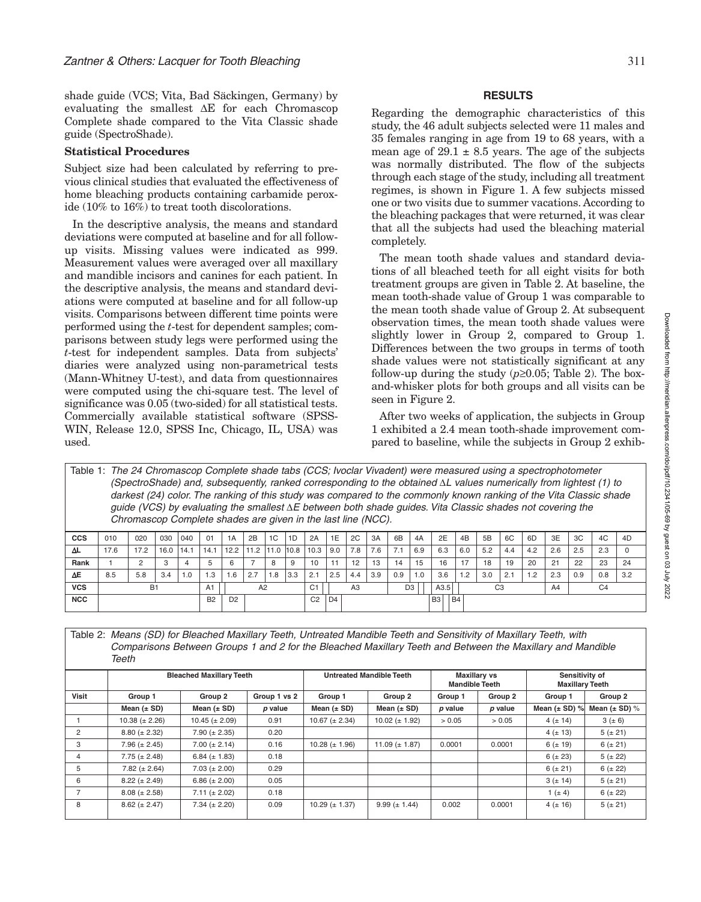shade guide (VCS; Vita, Bad Säckingen, Germany) by evaluating the smallest ∆E for each Chromascop Complete shade compared to the Vita Classic shade guide (SpectroShade).

## **Statistical Procedures**

Subject size had been calculated by referring to previous clinical studies that evaluated the effectiveness of home bleaching products containing carbamide peroxide (10% to 16%) to treat tooth discolorations.

In the descriptive analysis, the means and standard deviations were computed at baseline and for all followup visits. Missing values were indicated as 999. Measurement values were averaged over all maxillary and mandible incisors and canines for each patient. In the descriptive analysis, the means and standard deviations were computed at baseline and for all follow-up visits. Comparisons between different time points were performed using the *t*-test for dependent samples; comparisons between study legs were performed using the *t*-test for independent samples. Data from subjects' diaries were analyzed using non-parametrical tests (Mann-Whitney U-test), and data from questionnaires were computed using the chi-square test. The level of significance was 0.05 (two-sided) for all statistical tests. Commercially available statistical software (SPSS-WIN, Release 12.0, SPSS Inc, Chicago, IL, USA) was used.

## **RESULTS**

Regarding the demographic characteristics of this study, the 46 adult subjects selected were 11 males and 35 females ranging in age from 19 to 68 years, with a mean age of  $29.1 \pm 8.5$  years. The age of the subjects was normally distributed. The flow of the subjects through each stage of the study, including all treatment regimes, is shown in Figure 1. A few subjects missed one or two visits due to summer vacations. According to the bleaching packages that were returned, it was clear that all the subjects had used the bleaching material completely.

The mean tooth shade values and standard deviations of all bleached teeth for all eight visits for both treatment groups are given in Table 2. At baseline, the mean tooth-shade value of Group 1 was comparable to the mean tooth shade value of Group 2. At subsequent observation times, the mean tooth shade values were slightly lower in Group 2, compared to Group 1. Differences between the two groups in terms of tooth shade values were not statistically significant at any follow-up during the study  $(p\geq 0.05;$  Table 2). The boxand-whisker plots for both groups and all visits can be seen in Figure 2.

After two weeks of application, the subjects in Group 1 exhibited a 2.4 mean tooth-shade improvement compared to baseline, while the subjects in Group 2 exhib-

Table 1: *The 24 Chromascop Complete shade tabs (CCS; Ivoclar Vivadent) were measured using a spectrophotometer (SpectroShade) and, subsequently, ranked corresponding to the obtained* ∆*L values numerically from lightest (1) to darkest (24) color. The ranking of this study was compared to the commonly known ranking of the Vita Classic shade guide (VCS) by evaluating the smallest* ∆*E between both shade guides. Vita Classic shades not covering the Chromascop Complete shades are given in the last line (NCC).*

| <b>CCS</b> | 010  | 020            | 030                                                                                                 | $^{\prime}$ 040 | 01  | 1A   | 2B                                                                                             | 1C   | 1D   | 2A   | 1E  | 2C  | 3A             | 6B  | 4A  | 2E  | 4B  | 5B  | 6C  | 6D  | 3E  | 3C  | 4C  | 4D  |
|------------|------|----------------|-----------------------------------------------------------------------------------------------------|-----------------|-----|------|------------------------------------------------------------------------------------------------|------|------|------|-----|-----|----------------|-----|-----|-----|-----|-----|-----|-----|-----|-----|-----|-----|
| ΔL         | 17.6 | 17.2           | 16.0                                                                                                | 14.1            | 14. | 12.2 | 11.2                                                                                           | 11.0 | 10.8 | 10.3 | 9.0 | 7.8 | 7.6            | 7.1 | 6.9 | 6.3 | 6.0 | 5.2 | 4.4 | 4.2 | 2.6 | 2.5 | 2.3 |     |
| Rank       |      |                |                                                                                                     |                 |     | -6   |                                                                                                | 8    | 9    | 10   |     | 12  | 13             | 14  | 15  | 16  |     | 18  | 19  | 20  | 21  | -22 | 23  | 24  |
| ΔE         | 8.5  | 5.8            | 3.4                                                                                                 | 1.0             | 1.3 | 1.6  | 2.7                                                                                            | .8   | 3.3  | 2.1  | 2.5 | 4.4 | 3.9            | 0.9 | 1.0 | 3.6 | .2  | 3.0 | 2.1 | 1.2 | 2.3 | 0.9 | 0.8 | 3.2 |
| <b>VCS</b> |      | B <sub>1</sub> |                                                                                                     |                 | A1  |      | C <sub>1</sub><br>A3.5<br>C <sub>3</sub><br>A <sub>2</sub><br>A <sub>3</sub><br>D <sub>3</sub> |      |      |      |     | A4  | C <sub>4</sub> |     |     |     |     |     |     |     |     |     |     |     |
| <b>NCC</b> |      |                | <b>B4</b><br>D <sub>2</sub><br>B <sub>3</sub><br>C <sub>2</sub><br>B <sub>2</sub><br>D <sub>4</sub> |                 |     |      |                                                                                                |      |      |      |     |     |                |     |     |     |     |     |     |     |     |     |     |     |
|            |      |                |                                                                                                     |                 |     |      |                                                                                                |      |      |      |     |     |                |     |     |     |     |     |     |     |     |     |     |     |

Table 2: *Means (SD) for Bleached Maxillary Teeth, Untreated Mandible Teeth and Sensitivity of Maxillary Teeth, with Comparisons Between Groups 1 and 2 for the Bleached Maxillary Teeth and Between the Maxillary and Mandible Teeth*

|       |                      | <b>Bleached Maxillary Teeth</b> |              |                      | <b>Untreated Mandible Teeth</b> | <b>Mandible Teeth</b> | <b>Maxillary vs</b> | Sensitivity of<br><b>Maxillary Teeth</b> |                   |  |
|-------|----------------------|---------------------------------|--------------|----------------------|---------------------------------|-----------------------|---------------------|------------------------------------------|-------------------|--|
| Visit | Group 1              | Group 2                         | Group 1 vs 2 | Group 1              | Group 2                         | Group 1               | Group 2             | Group 1                                  | Group 2           |  |
|       | Mean $(\pm SD)$      | Mean $(\pm SD)$                 | p value      | Mean $(\pm SD)$      | Mean $(\pm SD)$                 | p value               | p value             | Mean $(\pm SD)$ %                        | Mean $(\pm SD)$ % |  |
|       | $10.38 \ (\pm 2.26)$ | $10.45 (\pm 2.09)$              | 0.91         | 10.67 ( $\pm$ 2.34)  | 10.02 ( $\pm$ 1.92)             | > 0.05                | > 0.05              | 4 ( $\pm$ 14)                            | $3 (\pm 6)$       |  |
| 2     | $8.80 (\pm 2.32)$    | $7.90 (\pm 2.35)$               | 0.20         |                      |                                 |                       |                     | $4 (+ 13)$                               | 5(± 21)           |  |
| 3     | $7.96 (\pm 2.45)$    | $7.00 (\pm 2.14)$               | 0.16         | $10.28 (\pm 1.96)$   | 11.09 ( $\pm$ 1.87)             | 0.0001                | 0.0001              | $6 (+ 19)$                               | $6 (+ 21)$        |  |
| 4     | $7.75 (\pm 2.48)$    | 6.84 ( $\pm$ 1.83)              | 0.18         |                      |                                 |                       |                     | $6 (+ 23)$                               | $5 (+ 22)$        |  |
| 5     | $7.82 \ (\pm 2.64)$  | $7.03 (\pm 2.00)$               | 0.29         |                      |                                 |                       |                     | $6 (+ 21)$                               | $6 (+ 22)$        |  |
| 6     | $8.22 (\pm 2.49)$    | 6.86 ( $\pm$ 2.00)              | 0.05         |                      |                                 |                       |                     | $3 (+ 14)$                               | 5(± 21)           |  |
|       | $8.08 (\pm 2.58)$    | $7.11 (\pm 2.02)$               | 0.18         |                      |                                 |                       |                     | 1 ( $\pm$ 4)                             | $6 (+ 22)$        |  |
| 8     | $8.62 \ (\pm 2.47)$  | 7.34 $(\pm 2.20)$               | 0.09         | $10.29 \ (\pm 1.37)$ | $9.99 \ (\pm 1.44)$             | 0.002                 | 0.0001              | $4 (+ 16)$                               | 5(± 21)           |  |
|       |                      |                                 |              |                      |                                 |                       |                     |                                          |                   |  |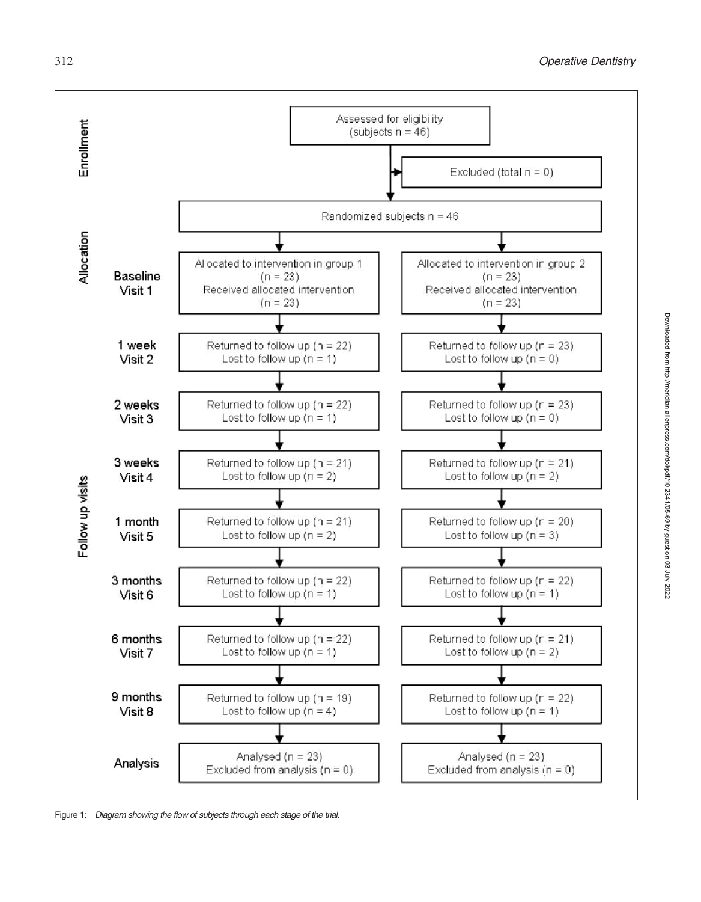

Figure 1: *Diagram showing the flow of subjects through each stage of the trial.*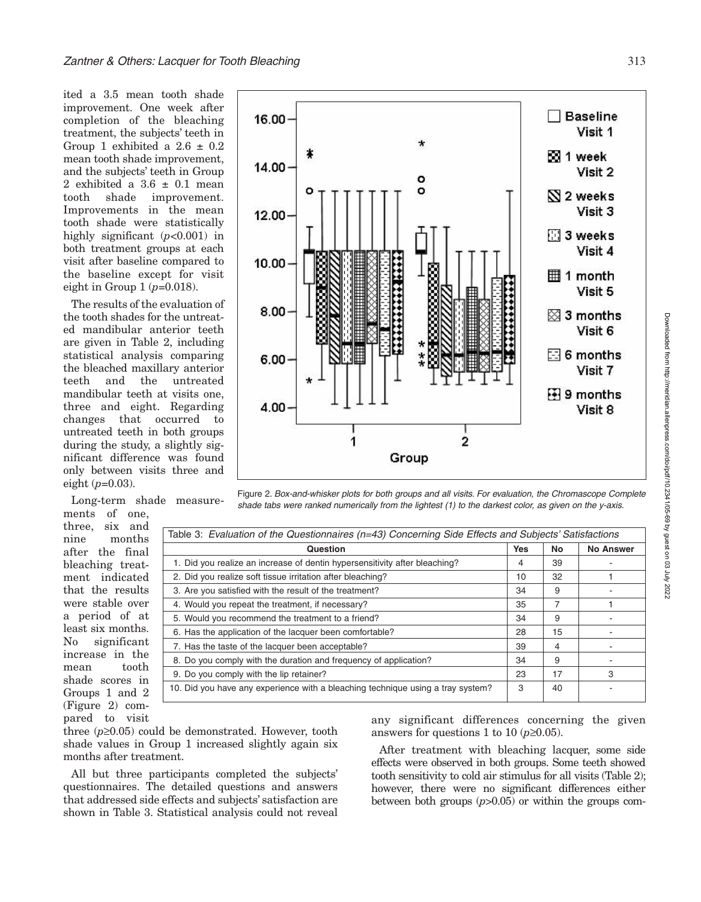ited a 3.5 mean tooth shade improvement. One week after completion of the bleaching treatment, the subjects' teeth in Group 1 exhibited a  $2.6 \pm 0.2$ mean tooth shade improvement, and the subjects' teeth in Group 2 exhibited a  $3.6 \pm 0.1$  mean tooth shade improvement. Improvements in the mean tooth shade were statistically highly significant (*p*<0.001) in both treatment groups at each visit after baseline compared to the baseline except for visit eight in Group 1 (*p*=0.018).

The results of the evaluation of the tooth shades for the untreated mandibular anterior teeth are given in Table 2, including statistical analysis comparing the bleached maxillary anterior teeth and the untreated mandibular teeth at visits one, three and eight. Regarding changes that occurred to untreated teeth in both groups during the study, a slightly significant difference was found only between visits three and eight  $(p=0.03)$ .

Long-term shade measurements of one,

three, six and nine months after the final bleaching treatment indicated that the results were stable over a period of at least six months. No significant increase in the mean tooth shade scores in Groups 1 and 2 (Figure 2) compared to visit



Figure 2. *Box-and-whisker plots for both groups and all visits. For evaluation, the Chromascope Complete shade tabs were ranked numerically from the lightest (1) to the darkest color, as given on the y-axis.*

| Table 3: Evaluation of the Questionnaires (n=43) Concerning Side Effects and Subjects' Satisfactions |            |     |                  |  |  |  |  |  |  |
|------------------------------------------------------------------------------------------------------|------------|-----|------------------|--|--|--|--|--|--|
| Question                                                                                             | <b>Yes</b> | No. | <b>No Answer</b> |  |  |  |  |  |  |
| 1. Did you realize an increase of dentin hypersensitivity after bleaching?                           | 4          | 39  |                  |  |  |  |  |  |  |
| 2. Did you realize soft tissue irritation after bleaching?                                           | 10         | 32  |                  |  |  |  |  |  |  |
| 3. Are you satisfied with the result of the treatment?                                               | 34         | 9   |                  |  |  |  |  |  |  |
| 4. Would you repeat the treatment, if necessary?                                                     | 35         | 7   |                  |  |  |  |  |  |  |
| 5. Would you recommend the treatment to a friend?                                                    | 34         | 9   |                  |  |  |  |  |  |  |
| 6. Has the application of the lacquer been comfortable?                                              | 28         | 15  |                  |  |  |  |  |  |  |
| 7. Has the taste of the lacquer been acceptable?                                                     | 39         | 4   |                  |  |  |  |  |  |  |
| 8. Do you comply with the duration and frequency of application?                                     | 34         | 9   |                  |  |  |  |  |  |  |
| 9. Do you comply with the lip retainer?                                                              | 23         | 17  | З                |  |  |  |  |  |  |
| 10. Did you have any experience with a bleaching technique using a tray system?                      | 3          | 40  |                  |  |  |  |  |  |  |

three (*p*≥0.05) could be demonstrated. However, tooth shade values in Group 1 increased slightly again six months after treatment.

All but three participants completed the subjects' questionnaires. The detailed questions and answers that addressed side effects and subjects' satisfaction are shown in Table 3. Statistical analysis could not reveal any significant differences concerning the given answers for questions 1 to 10 ( $p \ge 0.05$ ).

After treatment with bleaching lacquer, some side effects were observed in both groups. Some teeth showed tooth sensitivity to cold air stimulus for all visits (Table 2); however, there were no significant differences either between both groups (*p*>0.05) or within the groups com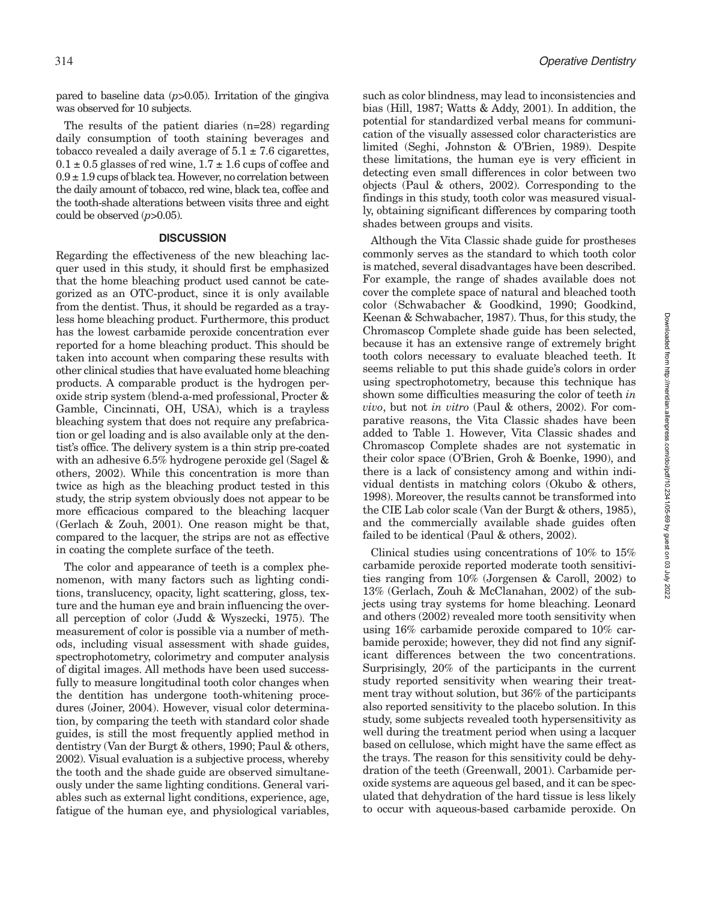pared to baseline data (*p*>0.05). Irritation of the gingiva was observed for 10 subjects.

The results of the patient diaries (n=28) regarding daily consumption of tooth staining beverages and tobacco revealed a daily average of  $5.1 \pm 7.6$  cigarettes,  $0.1 \pm 0.5$  glasses of red wine,  $1.7 \pm 1.6$  cups of coffee and  $0.9 \pm 1.9$  cups of black tea. However, no correlation between the daily amount of tobacco, red wine, black tea, coffee and the tooth-shade alterations between visits three and eight could be observed (*p*>0.05).

#### **DISCUSSION**

Regarding the effectiveness of the new bleaching lacquer used in this study, it should first be emphasized that the home bleaching product used cannot be categorized as an OTC-product, since it is only available from the dentist. Thus, it should be regarded as a trayless home bleaching product. Furthermore, this product has the lowest carbamide peroxide concentration ever reported for a home bleaching product. This should be taken into account when comparing these results with other clinical studies that have evaluated home bleaching products. A comparable product is the hydrogen peroxide strip system (blend-a-med professional, Procter & Gamble, Cincinnati, OH, USA), which is a trayless bleaching system that does not require any prefabrication or gel loading and is also available only at the dentist's office. The delivery system is a thin strip pre-coated with an adhesive 6.5% hydrogene peroxide gel (Sagel & others, 2002). While this concentration is more than twice as high as the bleaching product tested in this study, the strip system obviously does not appear to be more efficacious compared to the bleaching lacquer (Gerlach & Zouh, 2001). One reason might be that, compared to the lacquer, the strips are not as effective in coating the complete surface of the teeth.

The color and appearance of teeth is a complex phenomenon, with many factors such as lighting conditions, translucency, opacity, light scattering, gloss, texture and the human eye and brain influencing the overall perception of color (Judd & Wyszecki, 1975). The measurement of color is possible via a number of methods, including visual assessment with shade guides, spectrophotometry, colorimetry and computer analysis of digital images. All methods have been used successfully to measure longitudinal tooth color changes when the dentition has undergone tooth-whitening procedures (Joiner, 2004). However, visual color determination, by comparing the teeth with standard color shade guides, is still the most frequently applied method in dentistry (Van der Burgt & others, 1990; Paul & others, 2002). Visual evaluation is a subjective process, whereby the tooth and the shade guide are observed simultaneously under the same lighting conditions. General variables such as external light conditions, experience, age, fatigue of the human eye, and physiological variables,

such as color blindness, may lead to inconsistencies and bias (Hill, 1987; Watts & Addy, 2001). In addition, the potential for standardized verbal means for communication of the visually assessed color characteristics are limited (Seghi, Johnston & O'Brien, 1989). Despite these limitations, the human eye is very efficient in detecting even small differences in color between two objects (Paul & others, 2002). Corresponding to the findings in this study, tooth color was measured visually, obtaining significant differences by comparing tooth shades between groups and visits.

Although the Vita Classic shade guide for prostheses commonly serves as the standard to which tooth color is matched, several disadvantages have been described. For example, the range of shades available does not cover the complete space of natural and bleached tooth color (Schwabacher & Goodkind, 1990; Goodkind, Keenan & Schwabacher, 1987). Thus, for this study, the Chromascop Complete shade guide has been selected, because it has an extensive range of extremely bright tooth colors necessary to evaluate bleached teeth. It seems reliable to put this shade guide's colors in order using spectrophotometry, because this technique has shown some difficulties measuring the color of teeth *in vivo*, but not *in vitro* (Paul & others, 2002). For comparative reasons, the Vita Classic shades have been added to Table 1. However, Vita Classic shades and Chromascop Complete shades are not systematic in their color space (O'Brien, Groh & Boenke, 1990), and there is a lack of consistency among and within individual dentists in matching colors (Okubo & others, 1998). Moreover, the results cannot be transformed into the CIE Lab color scale (Van der Burgt & others, 1985), and the commercially available shade guides often failed to be identical (Paul & others, 2002).

Clinical studies using concentrations of 10% to 15% carbamide peroxide reported moderate tooth sensitivities ranging from 10% (Jorgensen & Caroll, 2002) to 13% (Gerlach, Zouh & McClanahan, 2002) of the subjects using tray systems for home bleaching. Leonard and others (2002) revealed more tooth sensitivity when using 16% carbamide peroxide compared to 10% carbamide peroxide; however, they did not find any significant differences between the two concentrations. Surprisingly, 20% of the participants in the current study reported sensitivity when wearing their treatment tray without solution, but 36% of the participants also reported sensitivity to the placebo solution. In this study, some subjects revealed tooth hypersensitivity as well during the treatment period when using a lacquer based on cellulose, which might have the same effect as the trays. The reason for this sensitivity could be dehydration of the teeth (Greenwall, 2001). Carbamide peroxide systems are aqueous gel based, and it can be speculated that dehydration of the hard tissue is less likely to occur with aqueous-based carbamide peroxide. On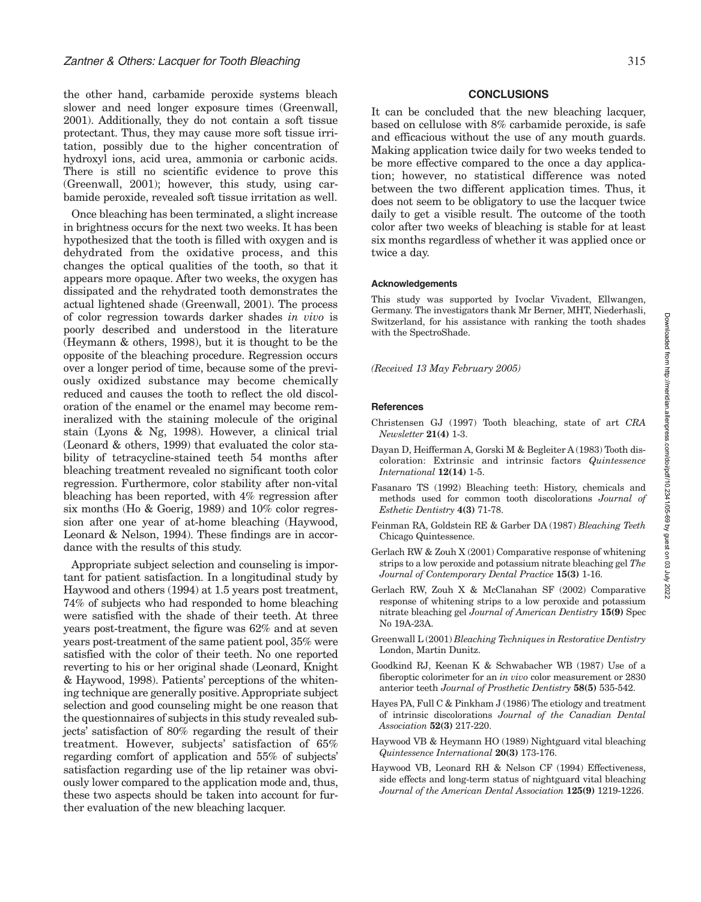the other hand, carbamide peroxide systems bleach slower and need longer exposure times (Greenwall, 2001). Additionally, they do not contain a soft tissue protectant. Thus, they may cause more soft tissue irritation, possibly due to the higher concentration of hydroxyl ions, acid urea, ammonia or carbonic acids. There is still no scientific evidence to prove this (Greenwall, 2001); however, this study, using carbamide peroxide, revealed soft tissue irritation as well.

Once bleaching has been terminated, a slight increase in brightness occurs for the next two weeks. It has been hypothesized that the tooth is filled with oxygen and is dehydrated from the oxidative process, and this changes the optical qualities of the tooth, so that it appears more opaque. After two weeks, the oxygen has dissipated and the rehydrated tooth demonstrates the actual lightened shade (Greenwall, 2001). The process of color regression towards darker shades *in vivo* is poorly described and understood in the literature (Heymann & others, 1998), but it is thought to be the opposite of the bleaching procedure. Regression occurs over a longer period of time, because some of the previously oxidized substance may become chemically reduced and causes the tooth to reflect the old discoloration of the enamel or the enamel may become remineralized with the staining molecule of the original stain (Lyons & Ng, 1998). However, a clinical trial (Leonard & others, 1999) that evaluated the color stability of tetracycline-stained teeth 54 months after bleaching treatment revealed no significant tooth color regression. Furthermore, color stability after non-vital bleaching has been reported, with 4% regression after six months (Ho & Goerig, 1989) and 10% color regression after one year of at-home bleaching (Haywood, Leonard & Nelson, 1994). These findings are in accordance with the results of this study.

Appropriate subject selection and counseling is important for patient satisfaction. In a longitudinal study by Haywood and others (1994) at 1.5 years post treatment, 74% of subjects who had responded to home bleaching were satisfied with the shade of their teeth. At three years post-treatment, the figure was 62% and at seven years post-treatment of the same patient pool, 35% were satisfied with the color of their teeth. No one reported reverting to his or her original shade (Leonard, Knight & Haywood, 1998). Patients' perceptions of the whitening technique are generally positive. Appropriate subject selection and good counseling might be one reason that the questionnaires of subjects in this study revealed subjects' satisfaction of 80% regarding the result of their treatment. However, subjects' satisfaction of 65% regarding comfort of application and 55% of subjects' satisfaction regarding use of the lip retainer was obviously lower compared to the application mode and, thus, these two aspects should be taken into account for further evaluation of the new bleaching lacquer.

## **CONCLUSIONS**

It can be concluded that the new bleaching lacquer, based on cellulose with 8% carbamide peroxide, is safe and efficacious without the use of any mouth guards. Making application twice daily for two weeks tended to be more effective compared to the once a day application; however, no statistical difference was noted between the two different application times. Thus, it does not seem to be obligatory to use the lacquer twice daily to get a visible result. The outcome of the tooth color after two weeks of bleaching is stable for at least six months regardless of whether it was applied once or twice a day.

#### **Acknowledgements**

This study was supported by Ivoclar Vivadent, Ellwangen, Germany. The investigators thank Mr Berner, MHT, Niederhasli, Switzerland, for his assistance with ranking the tooth shades with the SpectroShade.

*(Received 13 May February 2005)*

#### **References**

- Christensen GJ (1997) Tooth bleaching, state of art *CRA Newsletter* **21(4)** 1-3.
- Dayan D, Heifferman A, Gorski M & Begleiter A (1983) Tooth discoloration: Extrinsic and intrinsic factors *Quintessence International* **12(14)** 1-5.
- Fasanaro TS (1992) Bleaching teeth: History, chemicals and methods used for common tooth discolorations *Journal of Esthetic Dentistry* **4(3)** 71-78.
- Feinman RA, Goldstein RE & Garber DA (1987) *Bleaching Teeth* Chicago Quintessence.
- Gerlach RW & Zouh X (2001) Comparative response of whitening strips to a low peroxide and potassium nitrate bleaching gel *The Journal of Contemporary Dental Practice* **15(3)** 1-16.
- Gerlach RW, Zouh X & McClanahan SF (2002) Comparative response of whitening strips to a low peroxide and potassium nitrate bleaching gel *Journal of American Dentistry* **15(9)** Spec No 19A-23A.
- Greenwall L (2001) *Bleaching Techniques in Restorative Dentistry* London, Martin Dunitz.
- Goodkind RJ, Keenan K & Schwabacher WB (1987) Use of a fiberoptic colorimeter for an *in vivo* color measurement or 2830 anterior teeth *Journal of Prosthetic Dentistry* **58(5)** 535-542.
- Hayes PA, Full C & Pinkham J (1986) The etiology and treatment of intrinsic discolorations *Journal of the Canadian Dental Association* **52(3)** 217-220.
- Haywood VB & Heymann HO (1989) Nightguard vital bleaching *Quintessence International* **20(3)** 173-176.
- Haywood VB, Leonard RH & Nelson CF (1994) Effectiveness, side effects and long-term status of nightguard vital bleaching *Journal of the American Dental Association* **125(9)** 1219-1226.